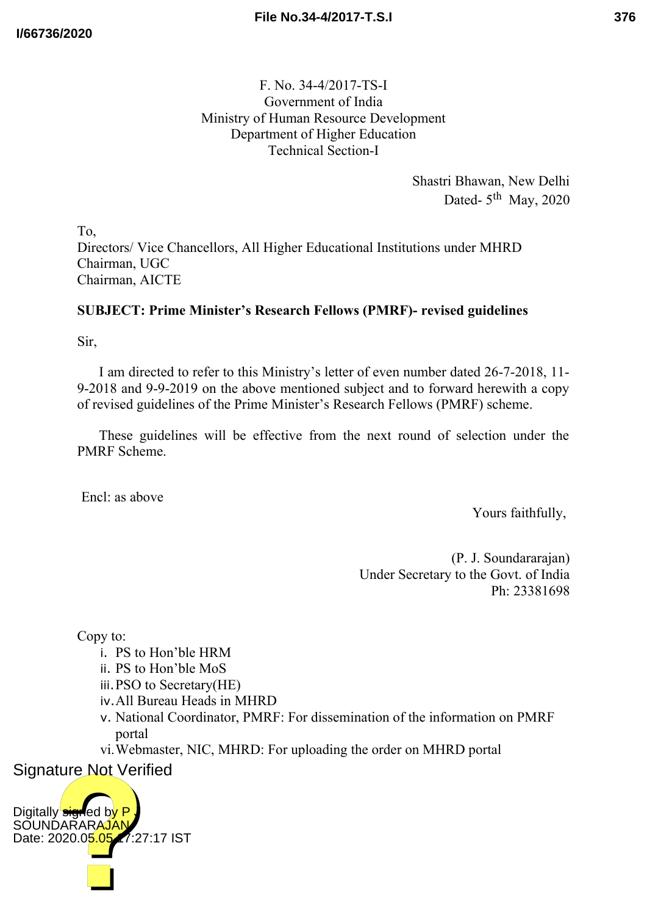F. No. 34-4/2017-TS-I Government of India Ministry of Human Resource Development Department of Higher Education Technical Section-I

> Shastri Bhawan, New Delhi Dated- $5<sup>th</sup>$  May, 2020

To, Directors/ Vice Chancellors, All Higher Educational Institutions under MHRD Chairman, UGC Chairman, AICTE

# **SUBJECT: Prime Minister's Research Fellows (PMRF)- revised guidelines**

Sir,

I am directed to refer to this Ministry's letter of even number dated 26-7-2018, 11- 9-2018 and 9-9-2019 on the above mentioned subject and to forward herewith a copy of revised guidelines of the Prime Minister's Research Fellows (PMRF) scheme.

These guidelines will be effective from the next round of selection under the PMRF Scheme.

Encl: as above

Yours faithfully,

(P. J. Soundararajan) Under Secretary to the Govt. of India Ph: 23381698

Copy to:

- i. PS to Hon'ble HRM
- ii. PS to Hon'ble MoS
- iii.PSO to Secretary(HE)
- iv.All Bureau Heads in MHRD
- v. National Coordinator, PMRF: For dissemination of the information on PMRF portal
- vi.Webmaster, NIC, MHRD: For uploading the order on MHRD portal

Signature Not Verified

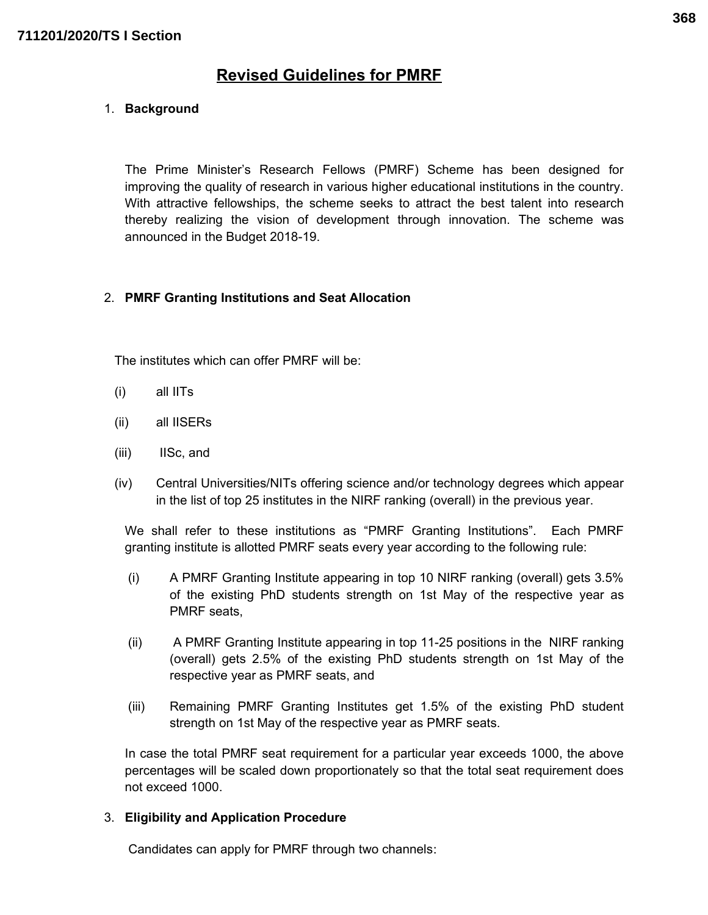# **Revised Guidelines for PMRF**

### 1. **Background**

The Prime Minister's Research Fellows (PMRF) Scheme has been designed for improving the quality of research in various higher educational institutions in the country. With attractive fellowships, the scheme seeks to attract the best talent into research thereby realizing the vision of development through innovation. The scheme was announced in the Budget 2018-19.

#### 2. **PMRF Granting Institutions and Seat Allocation**

The institutes which can offer PMRF will be:

- (i) all IITs
- (ii) all IISERs
- (iii) IISc, and
- (iv) Central Universities/NITs offering science and/or technology degrees which appear in the list of top 25 institutes in the NIRF ranking (overall) in the previous year.

We shall refer to these institutions as "PMRF Granting Institutions". Each PMRF granting institute is allotted PMRF seats every year according to the following rule:

- (i) A PMRF Granting Institute appearing in top 10 NIRF ranking (overall) gets 3.5% of the existing PhD students strength on 1st May of the respective year as PMRF seats,
- (ii) A PMRF Granting Institute appearing in top 11-25 positions in the NIRF ranking (overall) gets 2.5% of the existing PhD students strength on 1st May of the respective year as PMRF seats, and
- (iii) Remaining PMRF Granting Institutes get 1.5% of the existing PhD student strength on 1st May of the respective year as PMRF seats.

In case the total PMRF seat requirement for a particular year exceeds 1000, the above percentages will be scaled down proportionately so that the total seat requirement does not exceed 1000.

#### 3. **Eligibility and Application Procedure**

Candidates can apply for PMRF through two channels: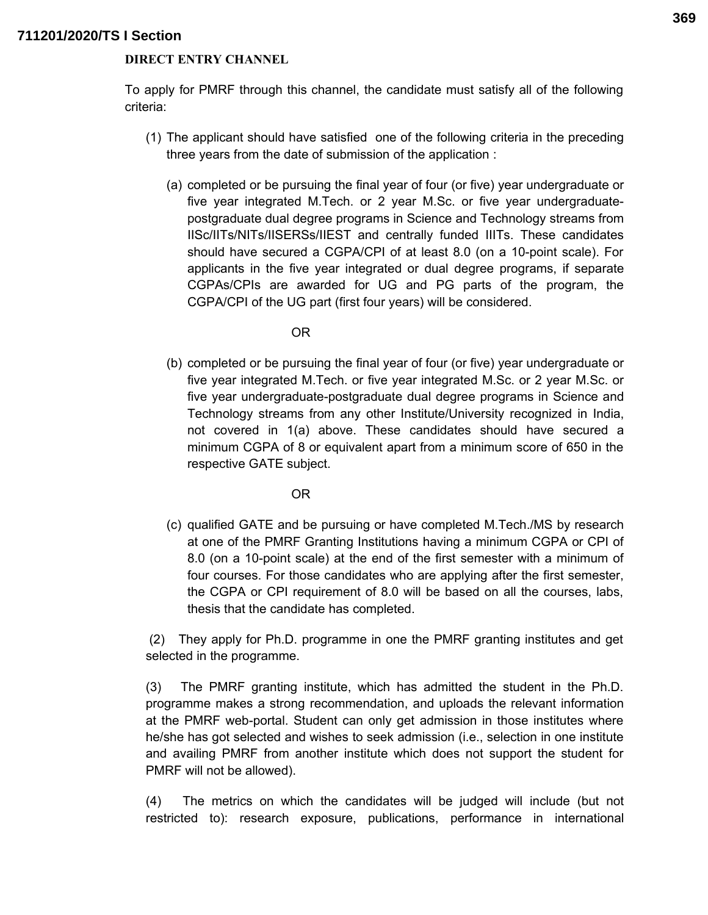#### **DIRECT ENTRY CHANNEL**

To apply for PMRF through this channel, the candidate must satisfy all of the following criteria:

- (1) The applicant should have satisfied one of the following criteria in the preceding three years from the date of submission of the application :
	- (a) completed or be pursuing the final year of four (or five) year undergraduate or five year integrated M.Tech. or 2 year M.Sc. or five year undergraduatepostgraduate dual degree programs in Science and Technology streams from IISc/IITs/NITs/IISERSs/IIEST and centrally funded IIITs. These candidates should have secured a CGPA/CPI of at least 8.0 (on a 10-point scale). For applicants in the five year integrated or dual degree programs, if separate CGPAs/CPIs are awarded for UG and PG parts of the program, the CGPA/CPI of the UG part (first four years) will be considered.

OR

(b) completed or be pursuing the final year of four (or five) year undergraduate or five year integrated M.Tech. or five year integrated M.Sc. or 2 year M.Sc. or five year undergraduate-postgraduate dual degree programs in Science and Technology streams from any other Institute/University recognized in India, not covered in 1(a) above. These candidates should have secured a minimum CGPA of 8 or equivalent apart from a minimum score of 650 in the respective GATE subject.

OR

(c) qualified GATE and be pursuing or have completed M.Tech./MS by research at one of the PMRF Granting Institutions having a minimum CGPA or CPI of 8.0 (on a 10-point scale) at the end of the first semester with a minimum of four courses. For those candidates who are applying after the first semester, the CGPA or CPI requirement of 8.0 will be based on all the courses, labs, thesis that the candidate has completed.

(2) They apply for Ph.D. programme in one the PMRF granting institutes and get selected in the programme.

(3) The PMRF granting institute, which has admitted the student in the Ph.D. programme makes a strong recommendation, and uploads the relevant information at the PMRF web-portal. Student can only get admission in those institutes where he/she has got selected and wishes to seek admission (i.e., selection in one institute and availing PMRF from another institute which does not support the student for PMRF will not be allowed).

(4) The metrics on which the candidates will be judged will include (but not restricted to): research exposure, publications, performance in international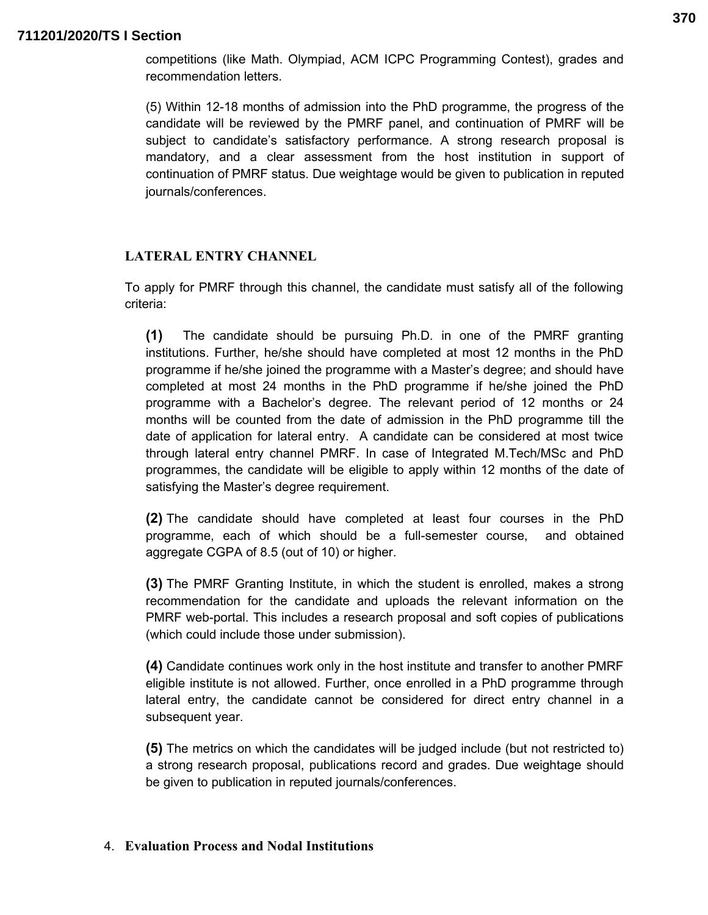competitions (like Math. Olympiad, ACM ICPC Programming Contest), grades and recommendation letters.

(5) Within 12-18 months of admission into the PhD programme, the progress of the candidate will be reviewed by the PMRF panel, and continuation of PMRF will be subject to candidate's satisfactory performance. A strong research proposal is mandatory, and a clear assessment from the host institution in support of continuation of PMRF status. Due weightage would be given to publication in reputed journals/conferences.

# **LATERAL ENTRY CHANNEL**

To apply for PMRF through this channel, the candidate must satisfy all of the following criteria:

**(1)** The candidate should be pursuing Ph.D. in one of the PMRF granting institutions. Further, he/she should have completed at most 12 months in the PhD programme if he/she joined the programme with a Master's degree; and should have completed at most 24 months in the PhD programme if he/she joined the PhD programme with a Bachelor's degree. The relevant period of 12 months or 24 months will be counted from the date of admission in the PhD programme till the date of application for lateral entry. A candidate can be considered at most twice through lateral entry channel PMRF. In case of Integrated M.Tech/MSc and PhD programmes, the candidate will be eligible to apply within 12 months of the date of satisfying the Master's degree requirement.

**(2)** The candidate should have completed at least four courses in the PhD programme, each of which should be a full-semester course, and obtained aggregate CGPA of 8.5 (out of 10) or higher.

**(3)** The PMRF Granting Institute, in which the student is enrolled, makes a strong recommendation for the candidate and uploads the relevant information on the PMRF web-portal. This includes a research proposal and soft copies of publications (which could include those under submission).

**(4)** Candidate continues work only in the host institute and transfer to another PMRF eligible institute is not allowed. Further, once enrolled in a PhD programme through lateral entry, the candidate cannot be considered for direct entry channel in a subsequent year.

**(5)** The metrics on which the candidates will be judged include (but not restricted to) a strong research proposal, publications record and grades. Due weightage should be given to publication in reputed journals/conferences.

#### 4. **Evaluation Process and Nodal Institutions**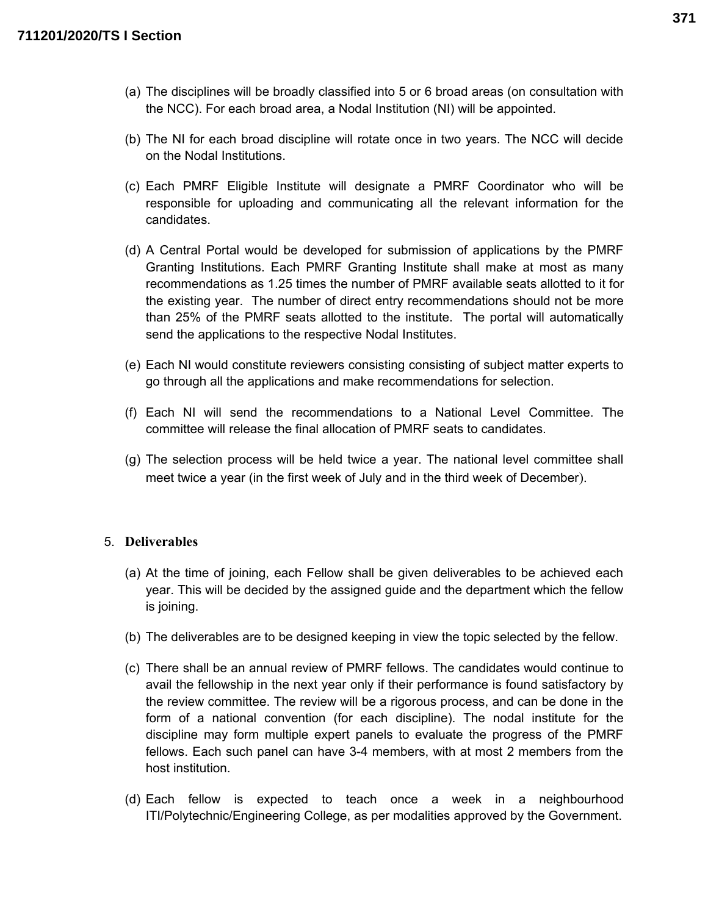- (a) The disciplines will be broadly classified into 5 or 6 broad areas (on consultation with the NCC). For each broad area, a Nodal Institution (NI) will be appointed.
- (b) The NI for each broad discipline will rotate once in two years. The NCC will decide on the Nodal Institutions.
- (c) Each PMRF Eligible Institute will designate a PMRF Coordinator who will be responsible for uploading and communicating all the relevant information for the candidates.
- (d) A Central Portal would be developed for submission of applications by the PMRF Granting Institutions. Each PMRF Granting Institute shall make at most as many recommendations as 1.25 times the number of PMRF available seats allotted to it for the existing year. The number of direct entry recommendations should not be more than 25% of the PMRF seats allotted to the institute. The portal will automatically send the applications to the respective Nodal Institutes.
- (e) Each NI would constitute reviewers consisting consisting of subject matter experts to go through all the applications and make recommendations for selection.
- (f) Each NI will send the recommendations to a National Level Committee. The committee will release the final allocation of PMRF seats to candidates.
- (g) The selection process will be held twice a year. The national level committee shall meet twice a year (in the first week of July and in the third week of December).

#### 5. **Deliverables**

- (a) At the time of joining, each Fellow shall be given deliverables to be achieved each year. This will be decided by the assigned guide and the department which the fellow is joining.
- (b) The deliverables are to be designed keeping in view the topic selected by the fellow.
- (c) There shall be an annual review of PMRF fellows. The candidates would continue to avail the fellowship in the next year only if their performance is found satisfactory by the review committee. The review will be a rigorous process, and can be done in the form of a national convention (for each discipline). The nodal institute for the discipline may form multiple expert panels to evaluate the progress of the PMRF fellows. Each such panel can have 3-4 members, with at most 2 members from the host institution.
- (d) Each fellow is expected to teach once a week in a neighbourhood ITI/Polytechnic/Engineering College, as per modalities approved by the Government.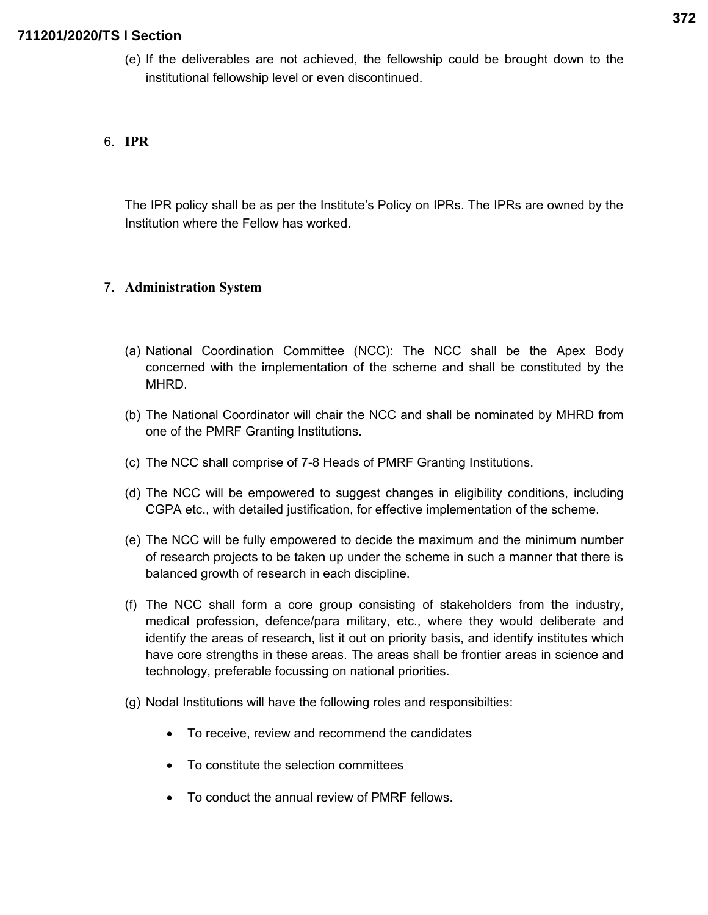(e) If the deliverables are not achieved, the fellowship could be brought down to the institutional fellowship level or even discontinued.

# 6. **IPR**

The IPR policy shall be as per the Institute's Policy on IPRs. The IPRs are owned by the Institution where the Fellow has worked.

#### 7. **Administration System**

- (a) National Coordination Committee (NCC): The NCC shall be the Apex Body concerned with the implementation of the scheme and shall be constituted by the MHRD.
- (b) The National Coordinator will chair the NCC and shall be nominated by MHRD from one of the PMRF Granting Institutions.
- (c) The NCC shall comprise of 7-8 Heads of PMRF Granting Institutions.
- (d) The NCC will be empowered to suggest changes in eligibility conditions, including CGPA etc., with detailed justification, for effective implementation of the scheme.
- (e) The NCC will be fully empowered to decide the maximum and the minimum number of research projects to be taken up under the scheme in such a manner that there is balanced growth of research in each discipline.
- (f) The NCC shall form a core group consisting of stakeholders from the industry, medical profession, defence/para military, etc., where they would deliberate and identify the areas of research, list it out on priority basis, and identify institutes which have core strengths in these areas. The areas shall be frontier areas in science and technology, preferable focussing on national priorities.
- (g) Nodal Institutions will have the following roles and responsibilties:
	- To receive, review and recommend the candidates
	- To constitute the selection committees
	- To conduct the annual review of PMRF fellows.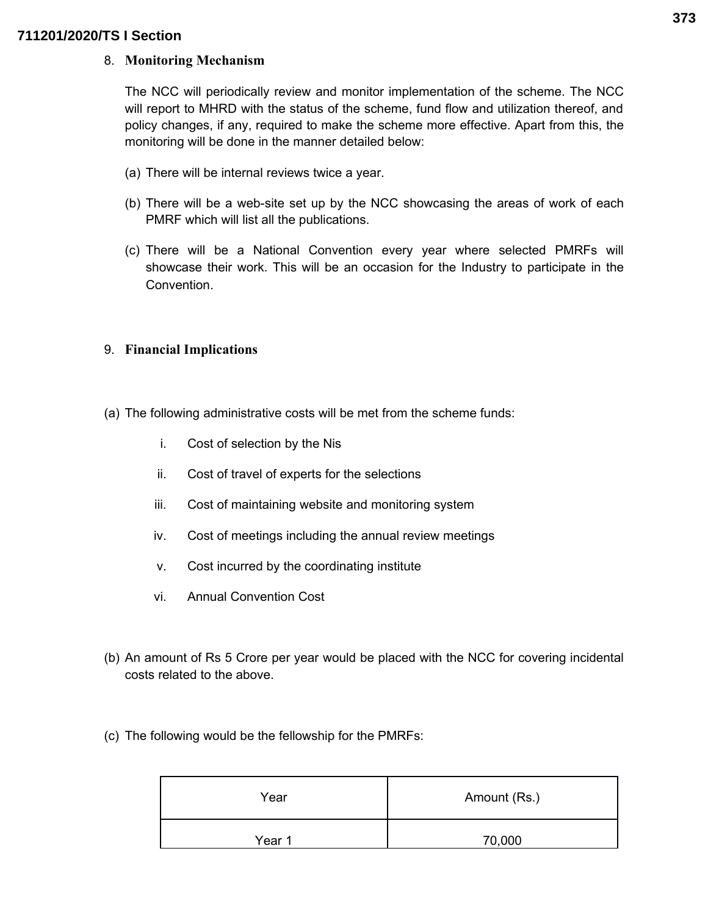#### 8. **Monitoring Mechanism**

The NCC will periodically review and monitor implementation of the scheme. The NCC will report to MHRD with the status of the scheme, fund flow and utilization thereof, and policy changes, if any, required to make the scheme more effective. Apart from this, the monitoring will be done in the manner detailed below:

- (a) There will be internal reviews twice a year.
- (b) There will be a web-site set up by the NCC showcasing the areas of work of each PMRF which will list all the publications.
- (c) There will be a National Convention every year where selected PMRFs will showcase their work. This will be an occasion for the Industry to participate in the Convention.

## 9. **Financial Implications**

- (a) The following administrative costs will be met from the scheme funds:
	- i. Cost of selection by the Nis
	- ii. Cost of travel of experts for the selections
	- iii. Cost of maintaining website and monitoring system
	- iv. Cost of meetings including the annual review meetings
	- v. Cost incurred by the coordinating institute
	- vi. Annual Convention Cost
- (b) An amount of Rs 5 Crore per year would be placed with the NCC for covering incidental costs related to the above.
- (c) The following would be the fellowship for the PMRFs:

| Year   | Amount (Rs.) |  |
|--------|--------------|--|
| Year 1 | 70,000       |  |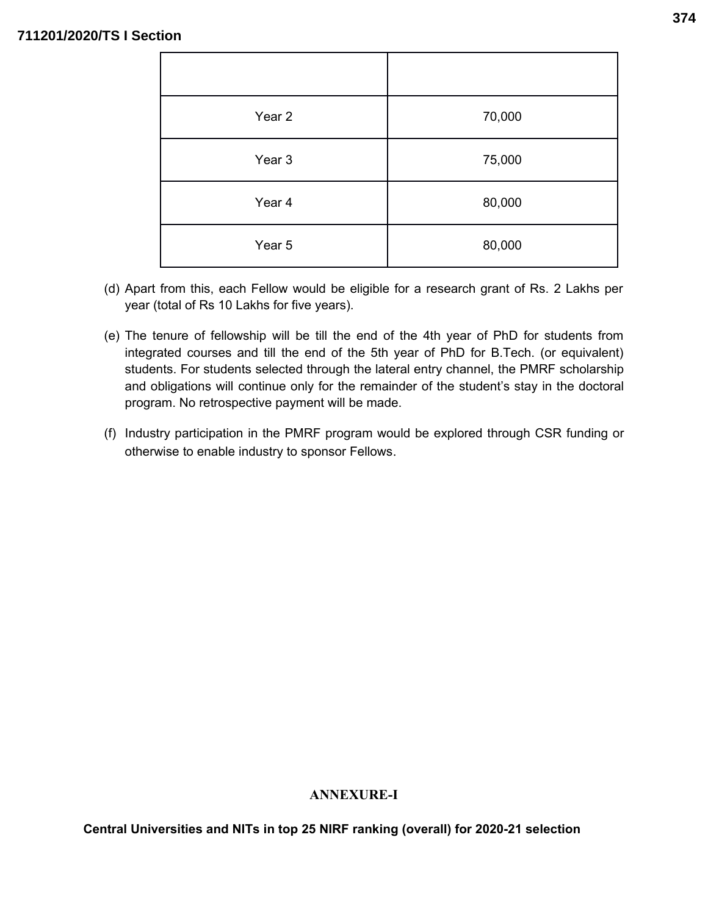| Year 2 | 70,000 |
|--------|--------|
| Year 3 | 75,000 |
| Year 4 | 80,000 |
| Year 5 | 80,000 |

- (d) Apart from this, each Fellow would be eligible for a research grant of Rs. 2 Lakhs per year (total of Rs 10 Lakhs for five years).
- (e) The tenure of fellowship will be till the end of the 4th year of PhD for students from integrated courses and till the end of the 5th year of PhD for B.Tech. (or equivalent) students. For students selected through the lateral entry channel, the PMRF scholarship and obligations will continue only for the remainder of the student's stay in the doctoral program. No retrospective payment will be made.
- (f) Industry participation in the PMRF program would be explored through CSR funding or otherwise to enable industry to sponsor Fellows.

# **ANNEXURE-I**

**Central Universities and NITs in top 25 NIRF ranking (overall) for 2020-21 selection**